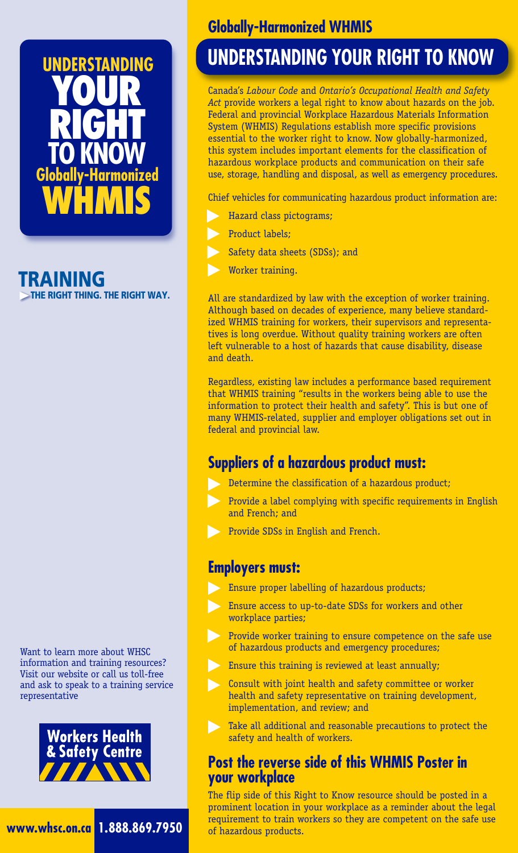

 $\simeq$  THE RIGHT THING. THE RIGHT WAY.

Want to learn more about WHSC information and training resources? Visit our website or call us toll-free and ask to speak to a training service representative





### **Globally-Harmonized WHMIS**

# **UNDERSTANDING YOUR RIGHT TO KNOW**

Canada's *Labour Code* and *Ontario's Occupational Health and Safety Act* provide workers a legal right to know about hazards on the job. Federal and provincial Workplace Hazardous Materials Information System (WHMIS) Regulations establish more specific provisions essential to the worker right to know. Now globally-harmonized, this system includes important elements for the classification of hazardous workplace products and communication on their safe use, storage, handling and disposal, as well as emergency procedures.

Chief vehicles for communicating hazardous product information are:

- Hazard class pictograms;
- Product labels;
- Safety data sheets (SDSs); and
- Worker training.

All are standardized by law with the exception of worker training. Although based on decades of experience, many believe standardized WHMIS training for workers, their supervisors and representatives is long overdue. Without quality training workers are often left vulnerable to a host of hazards that cause disability, disease and death.

Regardless, existing law includes a performance based requirement that WHMIS training "results in the workers being able to use the information to protect their health and safety". This is but one of many WHMIS-related, supplier and employer obligations set out in federal and provincial law.

#### **Suppliers of a hazardous product must:**

- Determine the classification of a hazardous product;
- Provide a label complying with specific requirements in English and French; and
- Provide SDSs in English and French.

#### **Employers must:**

- Ensure proper labelling of hazardous products;
- Ensure access to up-to-date SDSs for workers and other workplace parties;
- Provide worker training to ensure competence on the safe use of hazardous products and emergency procedures;
- Ensure this training is reviewed at least annually;
- Consult with joint health and safety committee or worker health and safety representative on training development, implementation, and review; and
- Take all additional and reasonable precautions to protect the safety and health of workers.

#### **Post the reverse side of this WHMIS Poster in your workplace**

The flip side of this Right to Know resource should be posted in a prominent location in your workplace as a reminder about the legal requirement to train workers so they are competent on the safe use of hazardous products.